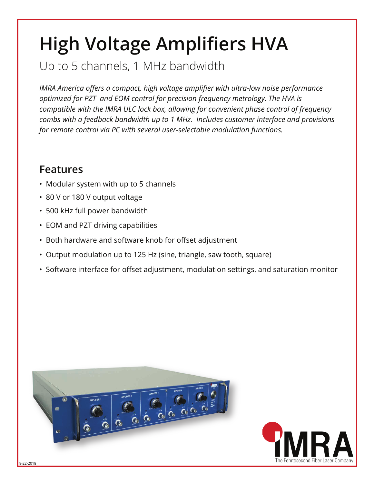## **High Voltage Amplifiers HVA**

Up to 5 channels, 1 MHz bandwidth

*IMRA America offers a compact, high voltage amplifier with ultra-low noise performance optimized for PZT and EOM control for precision frequency metrology. The HVA is compatible with the IMRA ULC lock box, allowing for convenient phase control of frequency combs with a feedback bandwidth up to 1 MHz. Includes customer interface and provisions for remote control via PC with several user-selectable modulation functions.*

## **Features**

- Modular system with up to 5 channels
- 80 V or 180 V output voltage
- 500 kHz full power bandwidth
- EOM and PZT driving capabilities
- Both hardware and software knob for offset adjustment
- Output modulation up to 125 Hz (sine, triangle, saw tooth, square)
- Software interface for offset adjustment, modulation settings, and saturation monitor